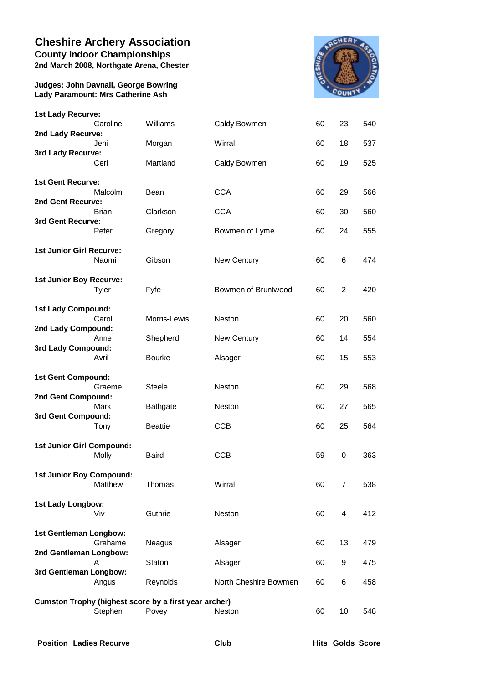## **Cheshire Archery Association County Indoor Championships**

**2nd March 2008, Northgate Arena, Chester**

**Judges: John Davnall, George Bowring Lady Paramount: Mrs Catherine Ash**



| 1st Lady Recurve:                                     |              |                 |                       |    |                |     |  |  |  |
|-------------------------------------------------------|--------------|-----------------|-----------------------|----|----------------|-----|--|--|--|
|                                                       | Caroline     | Williams        | Caldy Bowmen          | 60 | 23             | 540 |  |  |  |
| 2nd Lady Recurve:                                     |              |                 |                       |    |                |     |  |  |  |
|                                                       | Jeni         | Morgan          | Wirral                | 60 | 18             | 537 |  |  |  |
| 3rd Lady Recurve:                                     | Ceri         | Martland        | Caldy Bowmen          | 60 | 19             | 525 |  |  |  |
|                                                       |              |                 |                       |    |                |     |  |  |  |
| 1st Gent Recurve:                                     |              |                 |                       |    |                |     |  |  |  |
|                                                       | Malcolm      | Bean            | <b>CCA</b>            | 60 | 29             | 566 |  |  |  |
| 2nd Gent Recurve:                                     |              |                 |                       |    |                |     |  |  |  |
| 3rd Gent Recurve:                                     | <b>Brian</b> | Clarkson        | <b>CCA</b>            | 60 | 30             | 560 |  |  |  |
|                                                       | Peter        | Gregory         | Bowmen of Lyme        | 60 | 24             | 555 |  |  |  |
|                                                       |              |                 |                       |    |                |     |  |  |  |
| 1st Junior Girl Recurve:                              |              |                 |                       |    |                |     |  |  |  |
|                                                       | Naomi        | Gibson          | New Century           | 60 | 6              | 474 |  |  |  |
| 1st Junior Boy Recurve:                               |              |                 |                       |    |                |     |  |  |  |
|                                                       | Tyler        | Fyfe            | Bowmen of Bruntwood   | 60 | $\overline{2}$ | 420 |  |  |  |
|                                                       |              |                 |                       |    |                |     |  |  |  |
| 1st Lady Compound:                                    |              |                 |                       |    |                |     |  |  |  |
| 2nd Lady Compound:                                    | Carol        | Morris-Lewis    | Neston                | 60 | 20             | 560 |  |  |  |
|                                                       | Anne         | Shepherd        | New Century           | 60 | 14             | 554 |  |  |  |
| 3rd Lady Compound:                                    |              |                 |                       |    |                |     |  |  |  |
|                                                       | Avril        | <b>Bourke</b>   | Alsager               | 60 | 15             | 553 |  |  |  |
| 1st Gent Compound:                                    |              |                 |                       |    |                |     |  |  |  |
|                                                       | Graeme       | <b>Steele</b>   | Neston                | 60 | 29             | 568 |  |  |  |
| 2nd Gent Compound:                                    |              |                 |                       |    |                |     |  |  |  |
|                                                       | Mark         | <b>Bathgate</b> | Neston                | 60 | 27             | 565 |  |  |  |
| 3rd Gent Compound:                                    |              |                 |                       |    |                |     |  |  |  |
|                                                       | Tony         | <b>Beattie</b>  | <b>CCB</b>            | 60 | 25             | 564 |  |  |  |
| 1st Junior Girl Compound:                             |              |                 |                       |    |                |     |  |  |  |
|                                                       | <b>Molly</b> | <b>Baird</b>    | <b>CCB</b>            | 59 | 0              | 363 |  |  |  |
|                                                       |              |                 |                       |    |                |     |  |  |  |
| 1st Junior Boy Compound:                              | Matthew      | Thomas          | Wirral                | 60 | $\overline{7}$ | 538 |  |  |  |
|                                                       |              |                 |                       |    |                |     |  |  |  |
| 1st Lady Longbow:                                     |              |                 |                       |    |                |     |  |  |  |
|                                                       | Viv          | Guthrie         | Neston                | 60 | 4              | 412 |  |  |  |
| 1st Gentleman Longbow:                                |              |                 |                       |    |                |     |  |  |  |
|                                                       | Grahame      | Neagus          | Alsager               | 60 | 13             | 479 |  |  |  |
| 2nd Gentleman Longbow:                                |              |                 |                       |    |                |     |  |  |  |
|                                                       | A            | <b>Staton</b>   | Alsager               | 60 | 9              | 475 |  |  |  |
| 3rd Gentleman Longbow:                                |              |                 |                       |    |                |     |  |  |  |
|                                                       | Angus        | Reynolds        | North Cheshire Bowmen | 60 | 6              | 458 |  |  |  |
| Cumston Trophy (highest score by a first year archer) |              |                 |                       |    |                |     |  |  |  |
|                                                       | Stephen      | Povey           | Neston                | 60 | 10             | 548 |  |  |  |
|                                                       |              |                 |                       |    |                |     |  |  |  |

**Position Ladies Recurve Club Hits Golds Score**